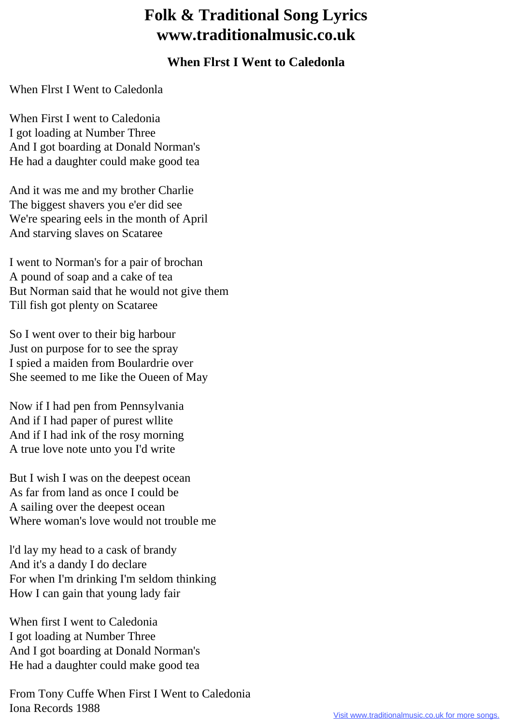## **Folk & Traditional Song Lyrics www.traditionalmusic.co.uk**

## **When Flrst I Went to Caledonla**

When Flrst I Went to Caledonla

When First I went to Caledonia I got loading at Number Three And I got boarding at Donald Norman's He had a daughter could make good tea

And it was me and my brother Charlie The biggest shavers you e'er did see We're spearing eels in the month of April And starving slaves on Scataree

I went to Norman's for a pair of brochan A pound of soap and a cake of tea But Norman said that he would not give them Till fish got plenty on Scataree

So I went over to their big harbour Just on purpose for to see the spray I spied a maiden from Boulardrie over She seemed to me Iike the Oueen of May

Now if I had pen from Pennsylvania And if I had paper of purest wllite And if I had ink of the rosy morning A true love note unto you I'd write

But I wish I was on the deepest ocean As far from land as once I could be A sailing over the deepest ocean Where woman's love would not trouble me

l'd lay my head to a cask of brandy And it's a dandy I do declare For when I'm drinking I'm seldom thinking How I can gain that young lady fair

When first I went to Caledonia I got loading at Number Three And I got boarding at Donald Norman's He had a daughter could make good tea

From Tony Cuffe When First I Went to Caledonia Iona Records 1988